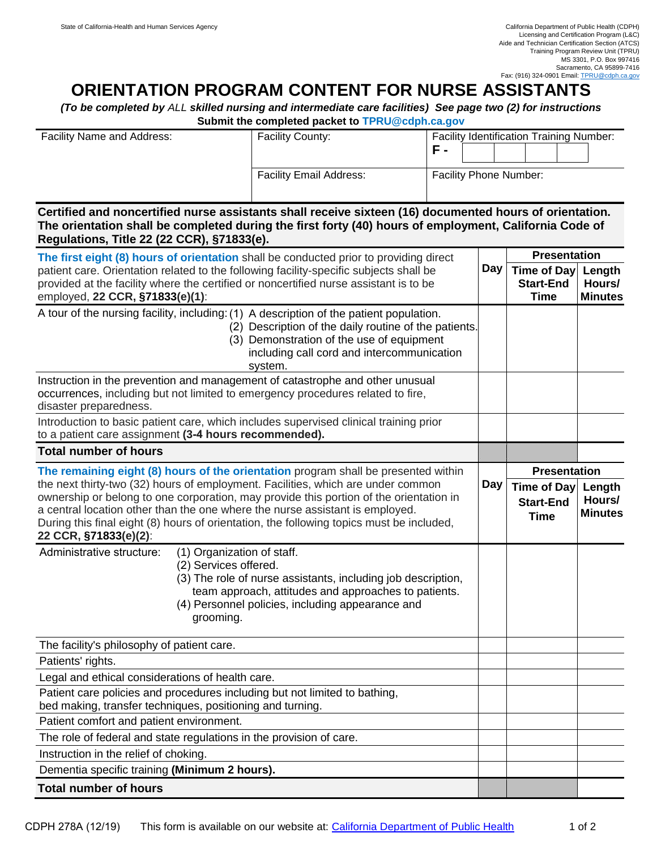## **ORIENTATION PROGRAM CONTENT FOR NURSE ASSISTANTS**

*(To be completed by ALL skilled nursing and intermediate care facilities) See page two (2) for instructions*  **Submit the completed packet to [TPRU@cdph.ca.gov](mailto:TPRU@cdph.ca.gov)** 

| <b>Facility Name and Address:</b> | <b>Facility County:</b>        | <b>Facility Identification Training Number:</b><br>$\overline{\phantom{a}}$ |
|-----------------------------------|--------------------------------|-----------------------------------------------------------------------------|
|                                   | <b>Facility Email Address:</b> | <b>Facility Phone Number:</b>                                               |

**Certified and noncertified nurse assistants shall receive sixteen (16) documented hours of orientation. The orientation shall be completed during the first forty (40) hours of employment, California Code of Regulations, Title 22 (22 CCR), §71833(e).** 

| The first eight (8) hours of orientation shall be conducted prior to providing direct<br>patient care. Orientation related to the following facility-specific subjects shall be<br>provided at the facility where the certified or noncertified nurse assistant is to be<br>employed, 22 CCR, §71833(e)(1):                                                                     |     | <b>Presentation</b>                            |                                    |
|---------------------------------------------------------------------------------------------------------------------------------------------------------------------------------------------------------------------------------------------------------------------------------------------------------------------------------------------------------------------------------|-----|------------------------------------------------|------------------------------------|
|                                                                                                                                                                                                                                                                                                                                                                                 |     | Time of Day Length                             |                                    |
|                                                                                                                                                                                                                                                                                                                                                                                 |     | <b>Start-End</b><br><b>Time</b>                | Hours/<br><b>Minutes</b>           |
| A tour of the nursing facility, including: (1) A description of the patient population.<br>(2) Description of the daily routine of the patients.<br>(3) Demonstration of the use of equipment<br>including call cord and intercommunication<br>system.                                                                                                                          |     |                                                |                                    |
| Instruction in the prevention and management of catastrophe and other unusual<br>occurrences, including but not limited to emergency procedures related to fire,<br>disaster preparedness.                                                                                                                                                                                      |     |                                                |                                    |
| Introduction to basic patient care, which includes supervised clinical training prior<br>to a patient care assignment (3-4 hours recommended).                                                                                                                                                                                                                                  |     |                                                |                                    |
| <b>Total number of hours</b>                                                                                                                                                                                                                                                                                                                                                    |     |                                                |                                    |
| The remaining eight (8) hours of the orientation program shall be presented within                                                                                                                                                                                                                                                                                              |     | <b>Presentation</b>                            |                                    |
| the next thirty-two (32) hours of employment. Facilities, which are under common<br>ownership or belong to one corporation, may provide this portion of the orientation in<br>a central location other than the one where the nurse assistant is employed.<br>During this final eight (8) hours of orientation, the following topics must be included,<br>22 CCR, §71833(e)(2): | Day | Time of Day<br><b>Start-End</b><br><b>Time</b> | Length<br>Hours/<br><b>Minutes</b> |
| Administrative structure:<br>(1) Organization of staff.<br>(2) Services offered.<br>(3) The role of nurse assistants, including job description,<br>team approach, attitudes and approaches to patients.<br>(4) Personnel policies, including appearance and<br>grooming.                                                                                                       |     |                                                |                                    |
| The facility's philosophy of patient care.                                                                                                                                                                                                                                                                                                                                      |     |                                                |                                    |
| Patients' rights.                                                                                                                                                                                                                                                                                                                                                               |     |                                                |                                    |
| Legal and ethical considerations of health care.                                                                                                                                                                                                                                                                                                                                |     |                                                |                                    |
| Patient care policies and procedures including but not limited to bathing,<br>bed making, transfer techniques, positioning and turning.                                                                                                                                                                                                                                         |     |                                                |                                    |
| Patient comfort and patient environment.                                                                                                                                                                                                                                                                                                                                        |     |                                                |                                    |
| The role of federal and state regulations in the provision of care.                                                                                                                                                                                                                                                                                                             |     |                                                |                                    |
| Instruction in the relief of choking.                                                                                                                                                                                                                                                                                                                                           |     |                                                |                                    |
| Dementia specific training (Minimum 2 hours).                                                                                                                                                                                                                                                                                                                                   |     |                                                |                                    |
| <b>Total number of hours</b>                                                                                                                                                                                                                                                                                                                                                    |     |                                                |                                    |